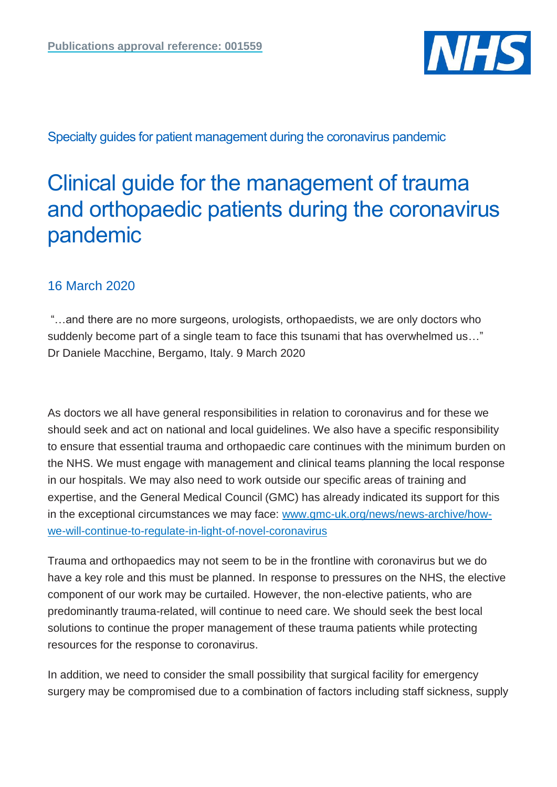

Specialty guides for patient management during the coronavirus pandemic

# Clinical guide for the management of trauma and orthopaedic patients during the coronavirus pandemic

# 16 March 2020

"…and there are no more surgeons, urologists, orthopaedists, we are only doctors who suddenly become part of a single team to face this tsunami that has overwhelmed us…" Dr Daniele Macchine, Bergamo, Italy. 9 March 2020

As doctors we all have general responsibilities in relation to coronavirus and for these we should seek and act on national and local guidelines. We also have a specific responsibility to ensure that essential trauma and orthopaedic care continues with the minimum burden on the NHS. We must engage with management and clinical teams planning the local response in our hospitals. We may also need to work outside our specific areas of training and expertise, and the General Medical Council (GMC) has already indicated its support for this in the exceptional circumstances we may face: [www.gmc-uk.org/news/news-archive/how](https://www.gmc-uk.org/news/news-archive/how-we-will-continue-to-regulate-in-light-of-novel-coronavirus)[we-will-continue-to-regulate-in-light-of-novel-coronavirus](https://www.gmc-uk.org/news/news-archive/how-we-will-continue-to-regulate-in-light-of-novel-coronavirus)

Trauma and orthopaedics may not seem to be in the frontline with coronavirus but we do have a key role and this must be planned. In response to pressures on the NHS, the elective component of our work may be curtailed. However, the non-elective patients, who are predominantly trauma-related, will continue to need care. We should seek the best local solutions to continue the proper management of these trauma patients while protecting resources for the response to coronavirus.

In addition, we need to consider the small possibility that surgical facility for emergency surgery may be compromised due to a combination of factors including staff sickness, supply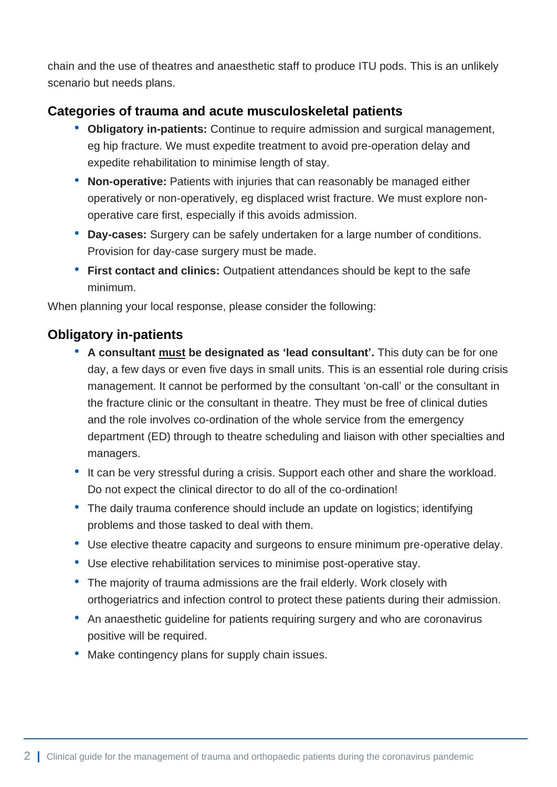chain and the use of theatres and anaesthetic staff to produce ITU pods. This is an unlikely scenario but needs plans.

# **Categories of trauma and acute musculoskeletal patients**

- **Obligatory in-patients:** Continue to require admission and surgical management, eg hip fracture. We must expedite treatment to avoid pre-operation delay and expedite rehabilitation to minimise length of stay.
- **Non-operative:** Patients with injuries that can reasonably be managed either operatively or non-operatively, eg displaced wrist fracture. We must explore nonoperative care first, especially if this avoids admission.
- **Day-cases:** Surgery can be safely undertaken for a large number of conditions. Provision for day-case surgery must be made.
- **First contact and clinics:** Outpatient attendances should be kept to the safe minimum.

When planning your local response, please consider the following:

## **Obligatory in-patients**

- **A consultant must be designated as 'lead consultant'.** This duty can be for one day, a few days or even five days in small units. This is an essential role during crisis management. It cannot be performed by the consultant 'on-call' or the consultant in the fracture clinic or the consultant in theatre. They must be free of clinical duties and the role involves co-ordination of the whole service from the emergency department (ED) through to theatre scheduling and liaison with other specialties and managers.
- It can be very stressful during a crisis. Support each other and share the workload. Do not expect the clinical director to do all of the co-ordination!
- The daily trauma conference should include an update on logistics; identifying problems and those tasked to deal with them.
- Use elective theatre capacity and surgeons to ensure minimum pre-operative delay.
- Use elective rehabilitation services to minimise post-operative stay.
- The majority of trauma admissions are the frail elderly. Work closely with orthogeriatrics and infection control to protect these patients during their admission.
- An anaesthetic guideline for patients requiring surgery and who are coronavirus positive will be required.
- Make contingency plans for supply chain issues.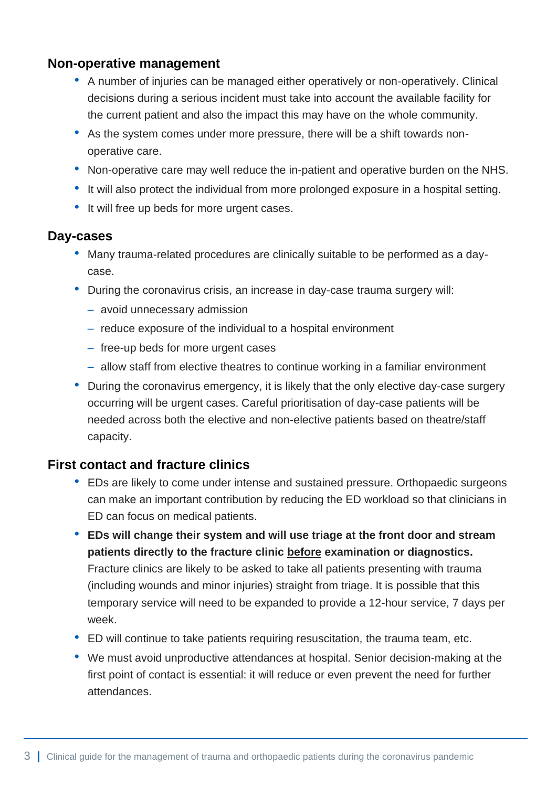### **Non-operative management**

- A number of injuries can be managed either operatively or non-operatively. Clinical decisions during a serious incident must take into account the available facility for the current patient and also the impact this may have on the whole community.
- As the system comes under more pressure, there will be a shift towards nonoperative care.
- Non-operative care may well reduce the in-patient and operative burden on the NHS.
- It will also protect the individual from more prolonged exposure in a hospital setting.
- It will free up beds for more urgent cases.

#### **Day-cases**

- Many trauma-related procedures are clinically suitable to be performed as a daycase.
- During the coronavirus crisis, an increase in day-case trauma surgery will:
	- avoid unnecessary admission
	- reduce exposure of the individual to a hospital environment
	- free-up beds for more urgent cases
	- allow staff from elective theatres to continue working in a familiar environment
- During the coronavirus emergency, it is likely that the only elective day-case surgery occurring will be urgent cases. Careful prioritisation of day-case patients will be needed across both the elective and non-elective patients based on theatre/staff capacity.

# **First contact and fracture clinics**

- EDs are likely to come under intense and sustained pressure. Orthopaedic surgeons can make an important contribution by reducing the ED workload so that clinicians in ED can focus on medical patients.
- **EDs will change their system and will use triage at the front door and stream patients directly to the fracture clinic before examination or diagnostics.** Fracture clinics are likely to be asked to take all patients presenting with trauma (including wounds and minor injuries) straight from triage. It is possible that this temporary service will need to be expanded to provide a 12-hour service, 7 days per week.
- ED will continue to take patients requiring resuscitation, the trauma team, etc.
- We must avoid unproductive attendances at hospital. Senior decision-making at the first point of contact is essential: it will reduce or even prevent the need for further attendances.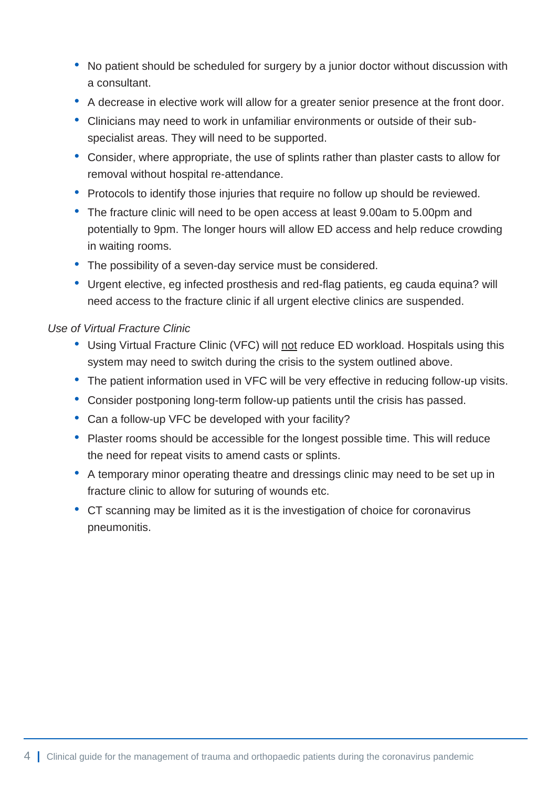- No patient should be scheduled for surgery by a junior doctor without discussion with a consultant.
- A decrease in elective work will allow for a greater senior presence at the front door.
- Clinicians may need to work in unfamiliar environments or outside of their subspecialist areas. They will need to be supported.
- Consider, where appropriate, the use of splints rather than plaster casts to allow for removal without hospital re-attendance.
- Protocols to identify those injuries that require no follow up should be reviewed.
- The fracture clinic will need to be open access at least 9.00am to 5.00pm and potentially to 9pm. The longer hours will allow ED access and help reduce crowding in waiting rooms.
- The possibility of a seven-day service must be considered.
- Urgent elective, eg infected prosthesis and red-flag patients, eg cauda equina? will need access to the fracture clinic if all urgent elective clinics are suspended.

#### *Use of Virtual Fracture Clinic*

- Using Virtual Fracture Clinic (VFC) will not reduce ED workload. Hospitals using this system may need to switch during the crisis to the system outlined above.
- The patient information used in VFC will be very effective in reducing follow-up visits.
- Consider postponing long-term follow-up patients until the crisis has passed.
- Can a follow-up VFC be developed with your facility?
- Plaster rooms should be accessible for the longest possible time. This will reduce the need for repeat visits to amend casts or splints.
- A temporary minor operating theatre and dressings clinic may need to be set up in fracture clinic to allow for suturing of wounds etc.
- CT scanning may be limited as it is the investigation of choice for coronavirus pneumonitis.